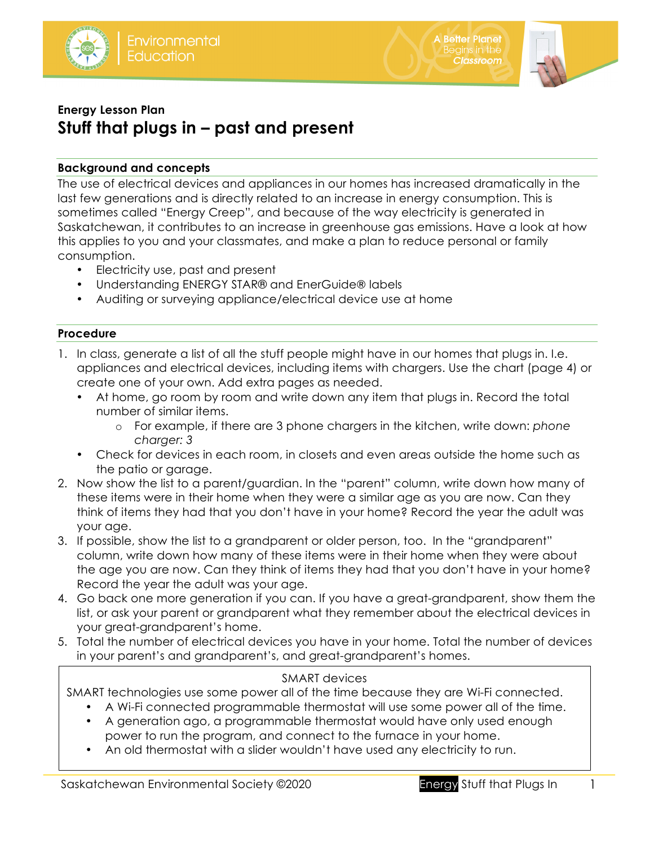



# **Energy Lesson Plan Stuff that plugs in – past and present**

# **Background and concepts**

The use of electrical devices and appliances in our homes has increased dramatically in the last few generations and is directly related to an increase in energy consumption. This is sometimes called "Energy Creep", and because of the way electricity is generated in Saskatchewan, it contributes to an increase in greenhouse gas emissions. Have a look at how this applies to you and your classmates, and make a plan to reduce personal or family consumption.

- Electricity use, past and present
- Understanding ENERGY STAR® and EnerGuide® labels
- Auditing or surveying appliance/electrical device use at home

# **Procedure**

- 1. In class, generate a list of all the stuff people might have in our homes that plugs in. I.e. appliances and electrical devices, including items with chargers. Use the chart (page 4) or create one of your own. Add extra pages as needed.
	- At home, go room by room and write down any item that plugs in. Record the total number of similar items.
		- o For example, if there are 3 phone chargers in the kitchen, write down: *phone charger: 3*
	- Check for devices in each room, in closets and even areas outside the home such as the patio or garage.
- 2. Now show the list to a parent/guardian. In the "parent" column, write down how many of these items were in their home when they were a similar age as you are now. Can they think of items they had that you don't have in your home? Record the year the adult was your age.
- 3. If possible, show the list to a grandparent or older person, too. In the "grandparent" column, write down how many of these items were in their home when they were about the age you are now. Can they think of items they had that you don't have in your home? Record the year the adult was your age.
- 4. Go back one more generation if you can. If you have a great-grandparent, show them the list, or ask your parent or grandparent what they remember about the electrical devices in your great-grandparent's home.
- 5. Total the number of electrical devices you have in your home. Total the number of devices in your parent's and grandparent's, and great-grandparent's homes.

## SMART devices

SMART technologies use some power all of the time because they are Wi-Fi connected.

- A Wi-Fi connected programmable thermostat will use some power all of the time.
- A generation ago, a programmable thermostat would have only used enough power to run the program, and connect to the furnace in your home.
- An old thermostat with a slider wouldn't have used any electricity to run.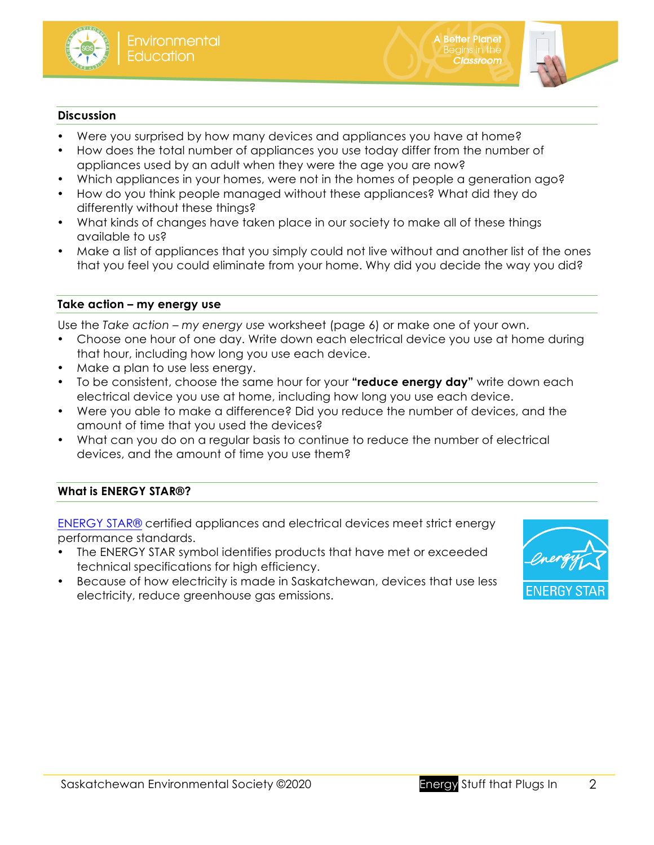

**A Better Planet** enor **reanch**<br>egins in the

**Classroom** 

#### **Discussion**

- Were you surprised by how many devices and appliances you have at home?
- How does the total number of appliances you use today differ from the number of appliances used by an adult when they were the age you are now?
- Which appliances in your homes, were not in the homes of people a generation ago?
- How do you think people managed without these appliances? What did they do differently without these things?
- What kinds of changes have taken place in our society to make all of these things available to us?
- Make a list of appliances that you simply could not live without and another list of the ones that you feel you could eliminate from your home. Why did you decide the way you did?

#### **Take action – my energy use**

Use the *Take action – my energy use* worksheet (page 6) or make one of your own.

- Choose one hour of one day. Write down each electrical device you use at home during that hour, including how long you use each device.
- Make a plan to use less energy.
- To be consistent, choose the same hour for your **"reduce energy day"** write down each electrical device you use at home, including how long you use each device.
- Were you able to make a difference? Did you reduce the number of devices, and the amount of time that you used the devices?
- What can you do on a regular basis to continue to reduce the number of electrical devices, and the amount of time you use them?

### **What is ENERGY STAR®?**

ENERGY STAR® certified appliances and electrical devices meet strict energy performance standards.

- The ENERGY STAR symbol identifies products that have met or exceeded technical specifications for high efficiency.
- Because of how electricity is made in Saskatchewan, devices that use less electricity, reduce greenhouse gas emissions.

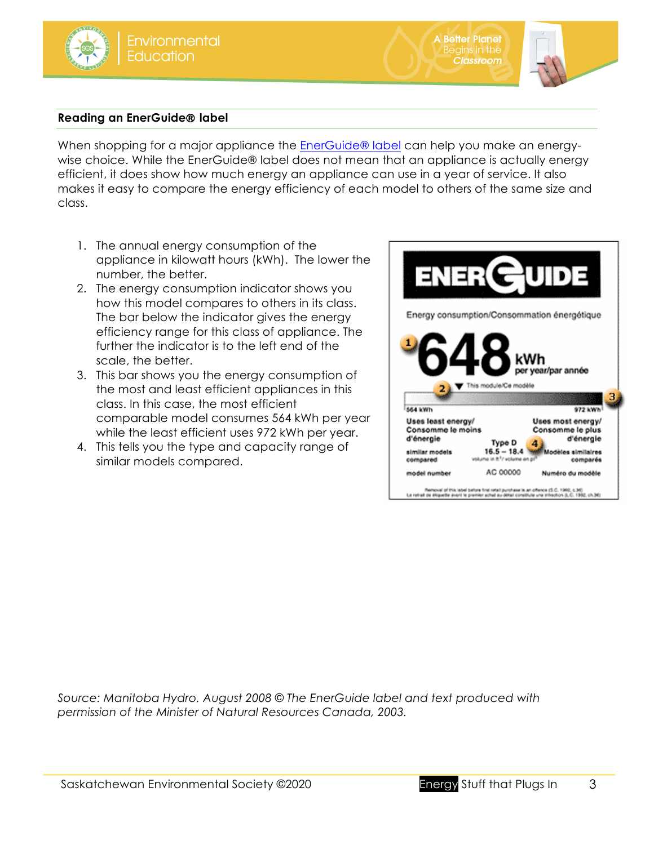**A Better Planet** Begins in the

**Classroom** 

### **Reading an EnerGuide**® **label**

When shopping for a major appliance the EnerGuide® label can help you make an energywise choice. While the EnerGuide® label does not mean that an appliance is actually energy efficient, it does show how much energy an appliance can use in a year of service. It also makes it easy to compare the energy efficiency of each model to others of the same size and class.

- 1. The annual energy consumption of the appliance in kilowatt hours (kWh). The lower the number, the better.
- 2. The energy consumption indicator shows you how this model compares to others in its class. The bar below the indicator gives the energy efficiency range for this class of appliance. The further the indicator is to the left end of the scale, the better.
- 3. This bar shows you the energy consumption of the most and least efficient appliances in this class. In this case, the most efficient comparable model consumes 564 kWh per year while the least efficient uses 972 kWh per year.
- 4. This tells you the type and capacity range of similar models compared.



*Source: Manitoba Hydro. August 2008 © The EnerGuide label and text produced with permission of the Minister of Natural Resources Canada, 2003.*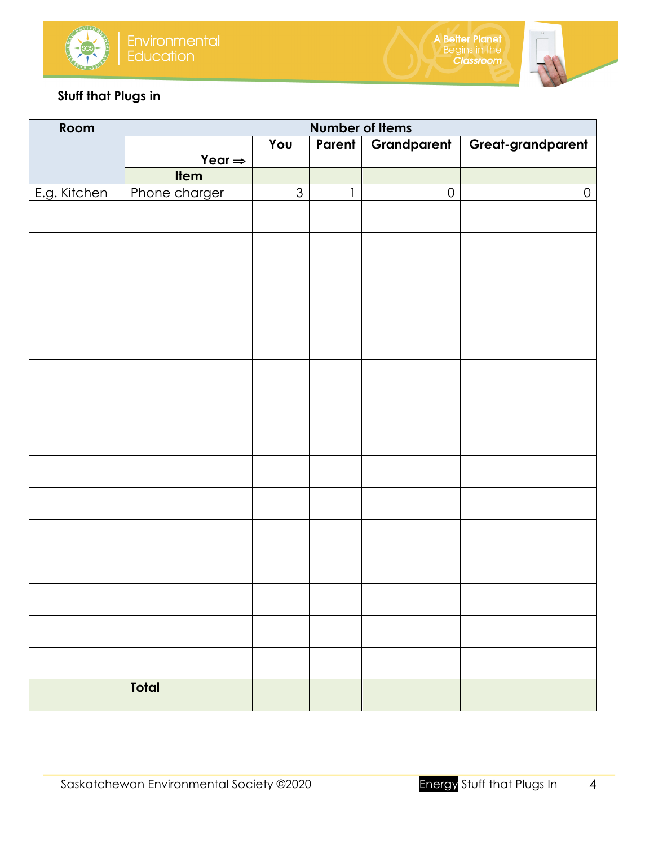



# **Stuff that Plugs in**

| Room         | <b>Number of Items</b> |                |              |             |                     |  |
|--------------|------------------------|----------------|--------------|-------------|---------------------|--|
|              |                        | You            | Parent       | Grandparent | Great-grandparent   |  |
|              | Year $\Rightarrow$     |                |              |             |                     |  |
|              | Item                   |                |              |             |                     |  |
| E.g. Kitchen | Phone charger          | $\mathfrak{S}$ | $\mathbf{1}$ | $\mathsf O$ | $\mathsf{O}\xspace$ |  |
|              |                        |                |              |             |                     |  |
|              |                        |                |              |             |                     |  |
|              |                        |                |              |             |                     |  |
|              |                        |                |              |             |                     |  |
|              |                        |                |              |             |                     |  |
|              |                        |                |              |             |                     |  |
|              |                        |                |              |             |                     |  |
|              |                        |                |              |             |                     |  |
|              |                        |                |              |             |                     |  |
|              |                        |                |              |             |                     |  |
|              |                        |                |              |             |                     |  |
|              |                        |                |              |             |                     |  |
|              |                        |                |              |             |                     |  |
|              |                        |                |              |             |                     |  |
|              |                        |                |              |             |                     |  |
|              |                        |                |              |             |                     |  |
|              |                        |                |              |             |                     |  |
|              | <b>Total</b>           |                |              |             |                     |  |
|              |                        |                |              |             |                     |  |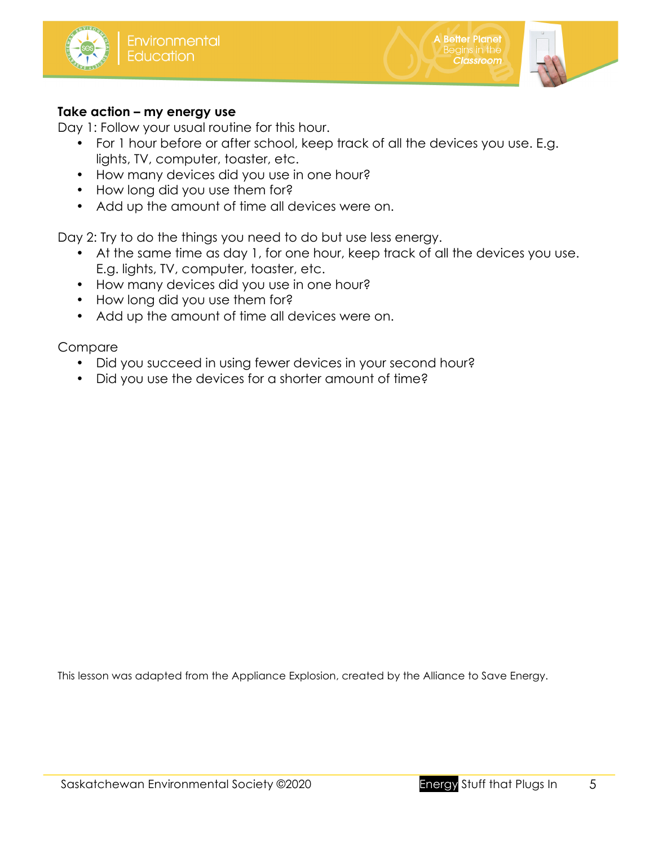

A Better Planet<br>Begins in the

**Classroom** 

## **Take action – my energy use**

Day 1: Follow your usual routine for this hour.

- For 1 hour before or after school, keep track of all the devices you use. E.g. lights, TV, computer, toaster, etc.
- How many devices did you use in one hour?
- How long did you use them for?
- Add up the amount of time all devices were on.

Day 2: Try to do the things you need to do but use less energy.

- At the same time as day 1, for one hour, keep track of all the devices you use. E.g. lights, TV, computer, toaster, etc.
- How many devices did you use in one hour?
- How long did you use them for?
- Add up the amount of time all devices were on.

## Compare

- Did you succeed in using fewer devices in your second hour?
- Did you use the devices for a shorter amount of time?

This lesson was adapted from the Appliance Explosion, created by the Alliance to Save Energy.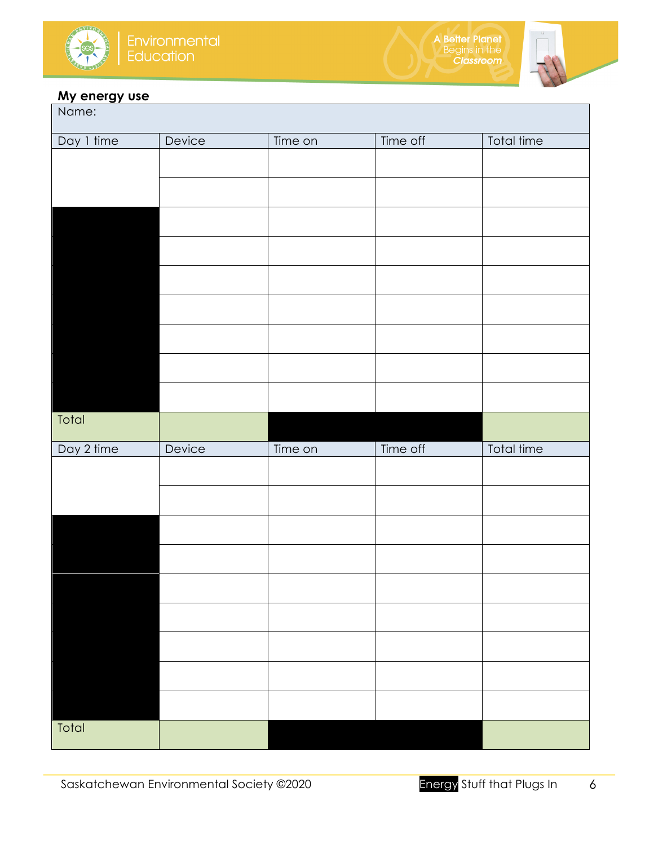

A Better Planet<br>Begins in the<br>Classroom



#### **My energy use**

| <u>.</u><br>Name: |        |         |          |            |  |  |  |  |
|-------------------|--------|---------|----------|------------|--|--|--|--|
| Day 1 time        | Device | Time on | Time off | Total time |  |  |  |  |
|                   |        |         |          |            |  |  |  |  |
|                   |        |         |          |            |  |  |  |  |
|                   |        |         |          |            |  |  |  |  |
|                   |        |         |          |            |  |  |  |  |
|                   |        |         |          |            |  |  |  |  |
|                   |        |         |          |            |  |  |  |  |
|                   |        |         |          |            |  |  |  |  |
|                   |        |         |          |            |  |  |  |  |
|                   |        |         |          |            |  |  |  |  |
|                   |        |         |          |            |  |  |  |  |
|                   |        |         |          |            |  |  |  |  |
| Total             |        |         |          |            |  |  |  |  |
| Day 2 time        | Device | Time on | Time off | Total time |  |  |  |  |
|                   |        |         |          |            |  |  |  |  |
|                   |        |         |          |            |  |  |  |  |
|                   |        |         |          |            |  |  |  |  |
|                   |        |         |          |            |  |  |  |  |
|                   |        |         |          |            |  |  |  |  |
|                   |        |         |          |            |  |  |  |  |
|                   |        |         |          |            |  |  |  |  |
|                   |        |         |          |            |  |  |  |  |
|                   |        |         |          |            |  |  |  |  |
| Total             |        |         |          |            |  |  |  |  |